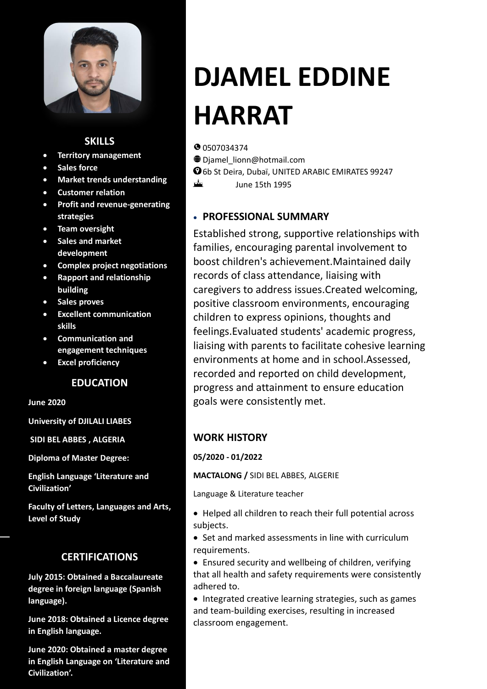

## **SKILLS**

- **Territory management**
- **Sales force**
- **Market trends understanding**
- **Customer relation**
- **Profit and revenue-generating strategies**
- **Team oversight**
- **Sales and market development**
- **Complex project negotiations**
- **Rapport and relationship building**
- **Sales proves**
- **Excellent communication skills**
- **Communication and engagement techniques**
- **Excel proficiency**

## **EDUCATION**

**June 2020**

**University of DJILALI LIABES**

**SIDI BEL ABBES , ALGERIA**

**Diploma of Master Degree:**

**English Language 'Literature and Civilization'**

**Faculty of Letters, Languages and Arts, Level of Study**

## **CERTIFICATIONS**

**July 2015: Obtained a Baccalaureate degree in foreign language (Spanish language).**

**June 2018: Obtained a Licence degree in English language.**

**June 2020: Obtained a master degree in English Language on 'Literature and Civilization'.**

# **DJAMEL EDDINE HARRAT**

**0** 0507034374

ᆂ

- Djamel\_lionn@hotmail.com
- 6b St Deira, Dubaï, UNITED ARABIC EMIRATES 99247
	- June 15th 1995

## • **PROFESSIONAL SUMMARY**

Established strong, supportive relationships with families, encouraging parental involvement to boost children's achievement.Maintained daily records of class attendance, liaising with caregivers to address issues.Created welcoming, positive classroom environments, encouraging children to express opinions, thoughts and feelings.Evaluated students' academic progress, liaising with parents to facilitate cohesive learning environments at home and in school.Assessed, recorded and reported on child development, progress and attainment to ensure education goals were consistently met.

## **WORK HISTORY**

**05/2020 - 01/2022** 

**MACTALONG /** SIDI BEL ABBES, ALGERIE

Language & Literature teacher

- Helped all children to reach their full potential across subjects.
- Set and marked assessments in line with curriculum requirements.
- Ensured security and wellbeing of children, verifying that all health and safety requirements were consistently adhered to.
- Integrated creative learning strategies, such as games and team-building exercises, resulting in increased classroom engagement.